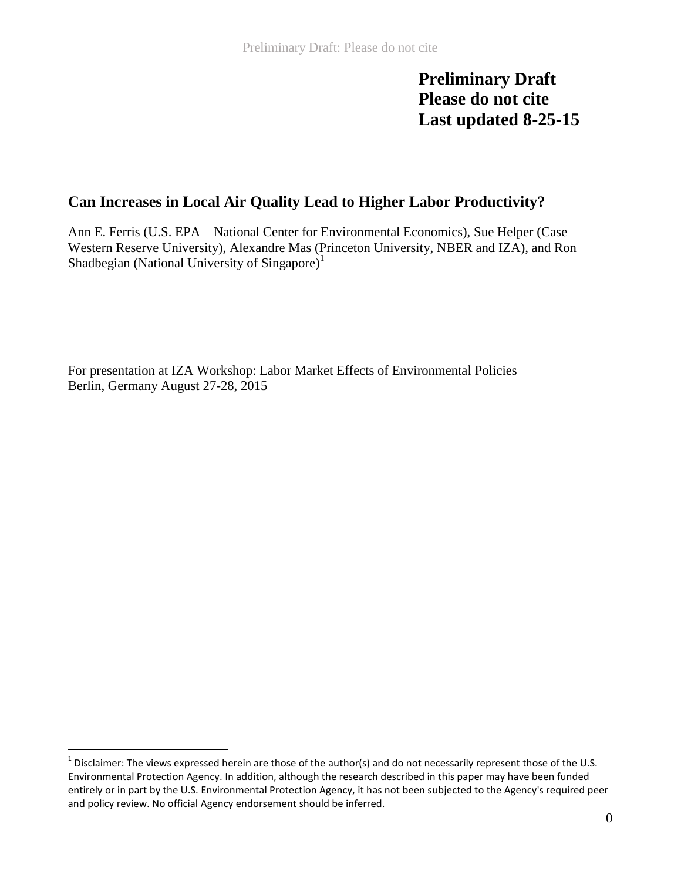**Preliminary Draft Please do not cite Last updated 8-25-15**

# **Can Increases in Local Air Quality Lead to Higher Labor Productivity?**

Ann E. Ferris (U.S. EPA – National Center for Environmental Economics), Sue Helper (Case Western Reserve University), Alexandre Mas (Princeton University, NBER and IZA), and Ron Shadbegian (National University of Singapore)<sup>1</sup>

For presentation at IZA Workshop: Labor Market Effects of Environmental Policies Berlin, Germany August 27-28, 2015

 $^1$  Disclaimer: The views expressed herein are those of the author(s) and do not necessarily represent those of the U.S. Environmental Protection Agency. In addition, although the research described in this paper may have been funded entirely or in part by the U.S. Environmental Protection Agency, it has not been subjected to the Agency's required peer and policy review. No official Agency endorsement should be inferred.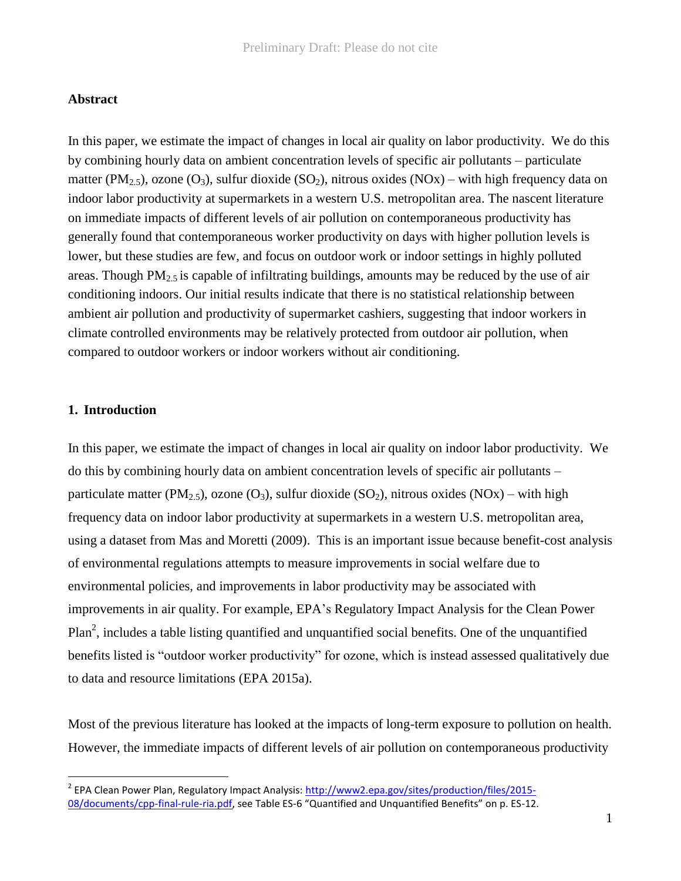### **Abstract**

In this paper, we estimate the impact of changes in local air quality on labor productivity. We do this by combining hourly data on ambient concentration levels of specific air pollutants – particulate matter (PM<sub>2.5</sub>), ozone (O<sub>3</sub>), sulfur dioxide (SO<sub>2</sub>), nitrous oxides (NOx) – with high frequency data on indoor labor productivity at supermarkets in a western U.S. metropolitan area. The nascent literature on immediate impacts of different levels of air pollution on contemporaneous productivity has generally found that contemporaneous worker productivity on days with higher pollution levels is lower, but these studies are few, and focus on outdoor work or indoor settings in highly polluted areas. Though  $PM_{2.5}$  is capable of infiltrating buildings, amounts may be reduced by the use of air conditioning indoors. Our initial results indicate that there is no statistical relationship between ambient air pollution and productivity of supermarket cashiers, suggesting that indoor workers in climate controlled environments may be relatively protected from outdoor air pollution, when compared to outdoor workers or indoor workers without air conditioning.

## **1. Introduction**

 $\overline{a}$ 

In this paper, we estimate the impact of changes in local air quality on indoor labor productivity. We do this by combining hourly data on ambient concentration levels of specific air pollutants – particulate matter (PM<sub>2.5</sub>), ozone (O<sub>3</sub>), sulfur dioxide (SO<sub>2</sub>), nitrous oxides (NOx) – with high frequency data on indoor labor productivity at supermarkets in a western U.S. metropolitan area, using a dataset from Mas and Moretti (2009). This is an important issue because benefit-cost analysis of environmental regulations attempts to measure improvements in social welfare due to environmental policies, and improvements in labor productivity may be associated with improvements in air quality. For example, EPA's Regulatory Impact Analysis for the Clean Power Plan<sup>2</sup>, includes a table listing quantified and unquantified social benefits. One of the unquantified benefits listed is "outdoor worker productivity" for ozone, which is instead assessed qualitatively due to data and resource limitations (EPA 2015a).

Most of the previous literature has looked at the impacts of long-term exposure to pollution on health. However, the immediate impacts of different levels of air pollution on contemporaneous productivity

<sup>&</sup>lt;sup>2</sup> EPA Clean Power Plan, Regulatory Impact Analysis: [http://www2.epa.gov/sites/production/files/2015-](http://www2.epa.gov/sites/production/files/2015-08/documents/cpp-final-rule-ria.pdf) [08/documents/cpp-final-rule-ria.pdf,](http://www2.epa.gov/sites/production/files/2015-08/documents/cpp-final-rule-ria.pdf) see Table ES-6 "Quantified and Unquantified Benefits" on p. ES-12.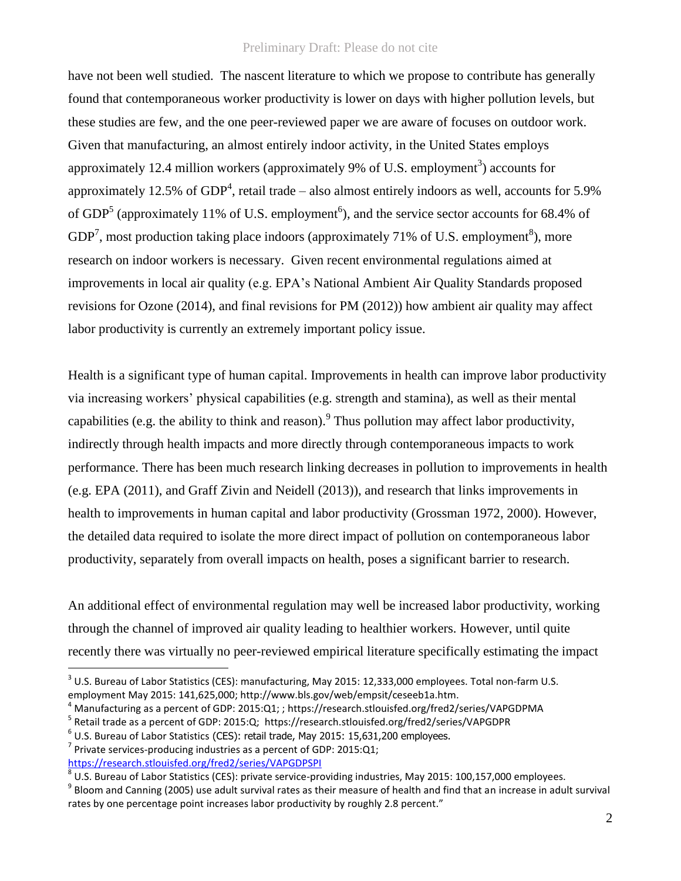have not been well studied. The nascent literature to which we propose to contribute has generally found that contemporaneous worker productivity is lower on days with higher pollution levels, but these studies are few, and the one peer-reviewed paper we are aware of focuses on outdoor work. Given that manufacturing, an almost entirely indoor activity, in the United States employs approximately 12.4 million workers (approximately 9% of U.S. employment<sup>3</sup>) accounts for approximately 12.5% of GDP<sup>4</sup>, retail trade – also almost entirely indoors as well, accounts for 5.9% of GDP<sup>5</sup> (approximately 11% of U.S. employment<sup>6</sup>), and the service sector accounts for 68.4% of GDP<sup>7</sup>, most production taking place indoors (approximately 71% of U.S. employment<sup>8</sup>), more research on indoor workers is necessary. Given recent environmental regulations aimed at improvements in local air quality (e.g. EPA's National Ambient Air Quality Standards proposed revisions for Ozone (2014), and final revisions for PM (2012)) how ambient air quality may affect labor productivity is currently an extremely important policy issue.

Health is a significant type of human capital. Improvements in health can improve labor productivity via increasing workers' physical capabilities (e.g. strength and stamina), as well as their mental capabilities (e.g. the ability to think and reason). <sup>9</sup> Thus pollution may affect labor productivity, indirectly through health impacts and more directly through contemporaneous impacts to work performance. There has been much research linking decreases in pollution to improvements in health (e.g. EPA (2011), and Graff Zivin and Neidell (2013)), and research that links improvements in health to improvements in human capital and labor productivity (Grossman 1972, 2000). However, the detailed data required to isolate the more direct impact of pollution on contemporaneous labor productivity, separately from overall impacts on health, poses a significant barrier to research.

An additional effect of environmental regulation may well be increased labor productivity, working through the channel of improved air quality leading to healthier workers. However, until quite recently there was virtually no peer-reviewed empirical literature specifically estimating the impact

 $^3$  U.S. Bureau of Labor Statistics (CES): manufacturing, May 2015: 12,333,000 employees. Total non-farm U.S. employment May 2015: 141,625,000; http://www.bls.gov/web/empsit/ceseeb1a.htm.

<sup>4</sup> Manufacturing as a percent of GDP: 2015:Q1; ; https://research.stlouisfed.org/fred2/series/VAPGDPMA

<sup>&</sup>lt;sup>5</sup> Retail trade as a percent of GDP: 2015:Q; https://research.stlouisfed.org/fred2/series/VAPGDPR

 $^6$  U.S. Bureau of Labor Statistics (CES): retail trade, May 2015: 15,631,200 employees.

<sup>&</sup>lt;sup>7</sup> Private services-producing industries as a percent of GDP: 2015:Q1; <https://research.stlouisfed.org/fred2/series/VAPGDPSPI>

 $^8$  U.S. Bureau of Labor Statistics (CES): private service-providing industries, May 2015: 100,157,000 employees.

 $^9$  Bloom and Canning (2005) use adult survival rates as their measure of health and find that an increase in adult survival rates by one percentage point increases labor productivity by roughly 2.8 percent."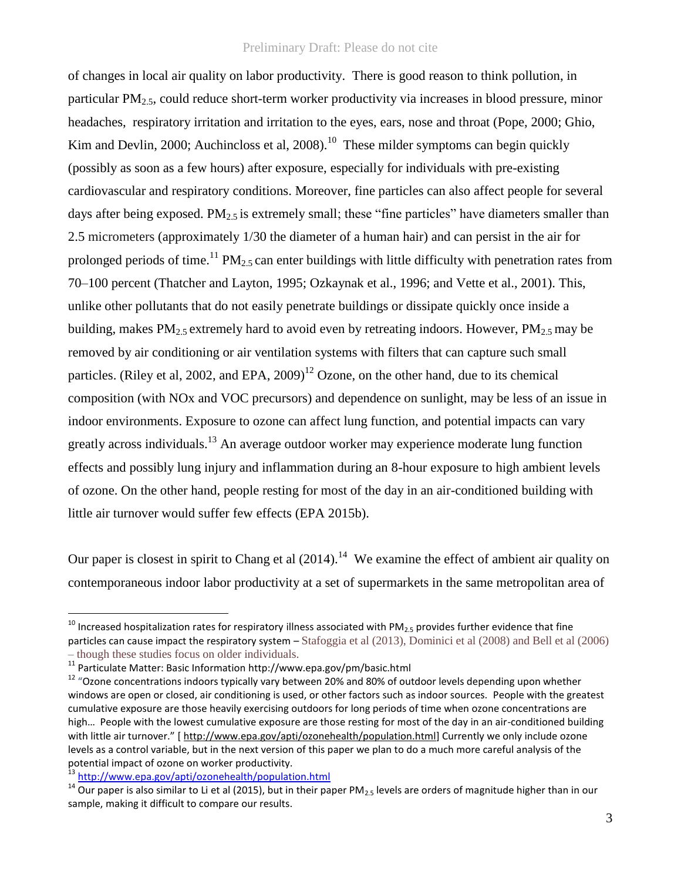of changes in local air quality on labor productivity. There is good reason to think pollution, in particular  $PM<sub>2.5</sub>$ , could reduce short-term worker productivity via increases in blood pressure, minor headaches, respiratory irritation and irritation to the eyes, ears, nose and throat (Pope, 2000; Ghio, Kim and Devlin, 2000; Auchincloss et al, 2008).<sup>10</sup> These milder symptoms can begin quickly (possibly as soon as a few hours) after exposure, especially for individuals with pre-existing cardiovascular and respiratory conditions. Moreover, fine particles can also affect people for several days after being exposed. PM<sub>2.5</sub> is extremely small; these "fine particles" have diameters smaller than 2.5 micrometers (approximately 1/30 the diameter of a human hair) and can persist in the air for prolonged periods of time.<sup>11</sup> PM<sub>2.5</sub> can enter buildings with little difficulty with penetration rates from 70–100 percent (Thatcher and Layton, 1995; Ozkaynak et al., 1996; and Vette et al., 2001). This, unlike other pollutants that do not easily penetrate buildings or dissipate quickly once inside a building, makes  $PM_{2.5}$  extremely hard to avoid even by retreating indoors. However,  $PM_{2.5}$  may be removed by air conditioning or air ventilation systems with filters that can capture such small particles. (Riley et al, 2002, and EPA, 2009)<sup>12</sup> Ozone, on the other hand, due to its chemical composition (with NOx and VOC precursors) and dependence on sunlight, may be less of an issue in indoor environments. Exposure to ozone can affect lung function, and potential impacts can vary greatly across individuals.<sup>13</sup> An average outdoor worker may experience moderate lung function effects and possibly lung injury and inflammation during an 8-hour exposure to high ambient levels of ozone. On the other hand, people resting for most of the day in an air-conditioned building with little air turnover would suffer few effects (EPA 2015b).

Our paper is closest in spirit to Chang et al  $(2014)$ .<sup>14</sup> We examine the effect of ambient air quality on contemporaneous indoor labor productivity at a set of supermarkets in the same metropolitan area of

 $10$  Increased hospitalization rates for respiratory illness associated with PM<sub>2.5</sub> provides further evidence that fine particles can cause impact the respiratory system – Stafoggia et al (2013), Dominici et al (2008) and Bell et al (2006) – though these studies focus on older individuals.

<sup>11</sup> Particulate Matter: Basic Information http://www.epa.gov/pm/basic.html

<sup>&</sup>lt;sup>12</sup> "Ozone concentrations indoors typically vary between 20% and 80% of outdoor levels depending upon whether windows are open or closed, air conditioning is used, or other factors such as indoor sources. People with the greatest cumulative exposure are those heavily exercising outdoors for long periods of time when ozone concentrations are high… People with the lowest cumulative exposure are those resting for most of the day in an air-conditioned building with little air turnover." [ [http://www.epa.gov/apti/ozonehealth/population.html\]](http://www.epa.gov/apti/ozonehealth/population.html) Currently we only include ozone levels as a control variable, but in the next version of this paper we plan to do a much more careful analysis of the potential impact of ozone on worker productivity.<br><sup>13</sup> http://www.ene.com/enti/eccurity.it/issaed.com

<http://www.epa.gov/apti/ozonehealth/population.html>

 $14$  Our paper is also similar to Li et al (2015), but in their paper PM<sub>2.5</sub> levels are orders of magnitude higher than in our sample, making it difficult to compare our results.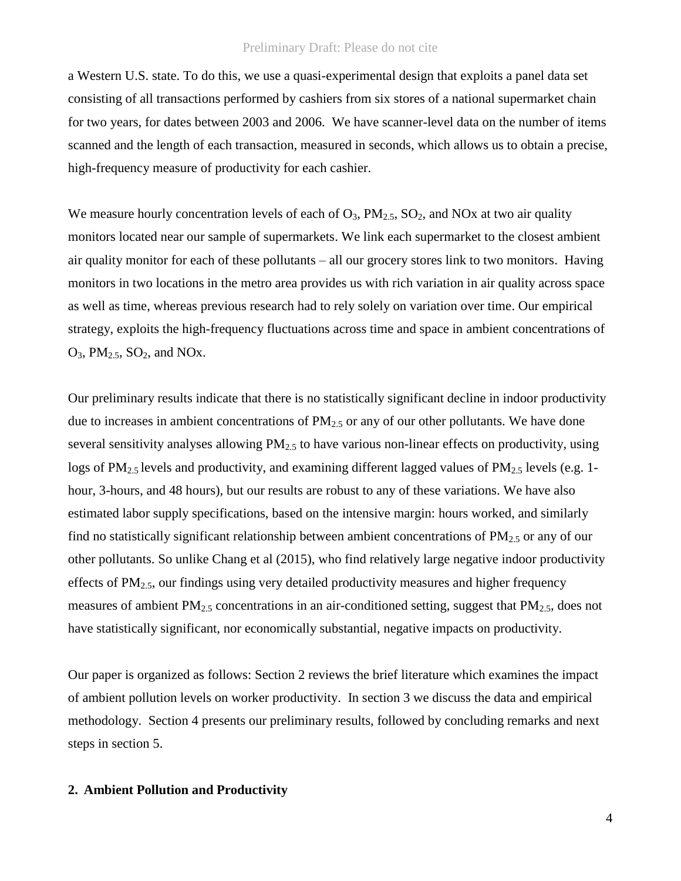a Western U.S. state. To do this, we use a quasi-experimental design that exploits a panel data set consisting of all transactions performed by cashiers from six stores of a national supermarket chain for two years, for dates between 2003 and 2006. We have scanner-level data on the number of items scanned and the length of each transaction, measured in seconds, which allows us to obtain a precise, high-frequency measure of productivity for each cashier.

We measure hourly concentration levels of each of  $O_3$ ,  $PM_{2.5}$ ,  $SO_2$ , and NOx at two air quality monitors located near our sample of supermarkets. We link each supermarket to the closest ambient air quality monitor for each of these pollutants – all our grocery stores link to two monitors. Having monitors in two locations in the metro area provides us with rich variation in air quality across space as well as time, whereas previous research had to rely solely on variation over time. Our empirical strategy, exploits the high-frequency fluctuations across time and space in ambient concentrations of  $O_3$ , PM<sub>2.5</sub>, SO<sub>2</sub>, and NO<sub>x</sub>.

Our preliminary results indicate that there is no statistically significant decline in indoor productivity due to increases in ambient concentrations of  $PM_{2.5}$  or any of our other pollutants. We have done several sensitivity analyses allowing  $PM<sub>2.5</sub>$  to have various non-linear effects on productivity, using logs of PM<sub>2.5</sub> levels and productivity, and examining different lagged values of PM<sub>2.5</sub> levels (e.g. 1hour, 3-hours, and 48 hours), but our results are robust to any of these variations. We have also estimated labor supply specifications, based on the intensive margin: hours worked, and similarly find no statistically significant relationship between ambient concentrations of  $PM_{2.5}$  or any of our other pollutants. So unlike Chang et al (2015), who find relatively large negative indoor productivity effects of  $PM_{2.5}$ , our findings using very detailed productivity measures and higher frequency measures of ambient  $PM_{2.5}$  concentrations in an air-conditioned setting, suggest that  $PM_{2.5}$ , does not have statistically significant, nor economically substantial, negative impacts on productivity.

Our paper is organized as follows: Section 2 reviews the brief literature which examines the impact of ambient pollution levels on worker productivity. In section 3 we discuss the data and empirical methodology. Section 4 presents our preliminary results, followed by concluding remarks and next steps in section 5.

# **2. Ambient Pollution and Productivity**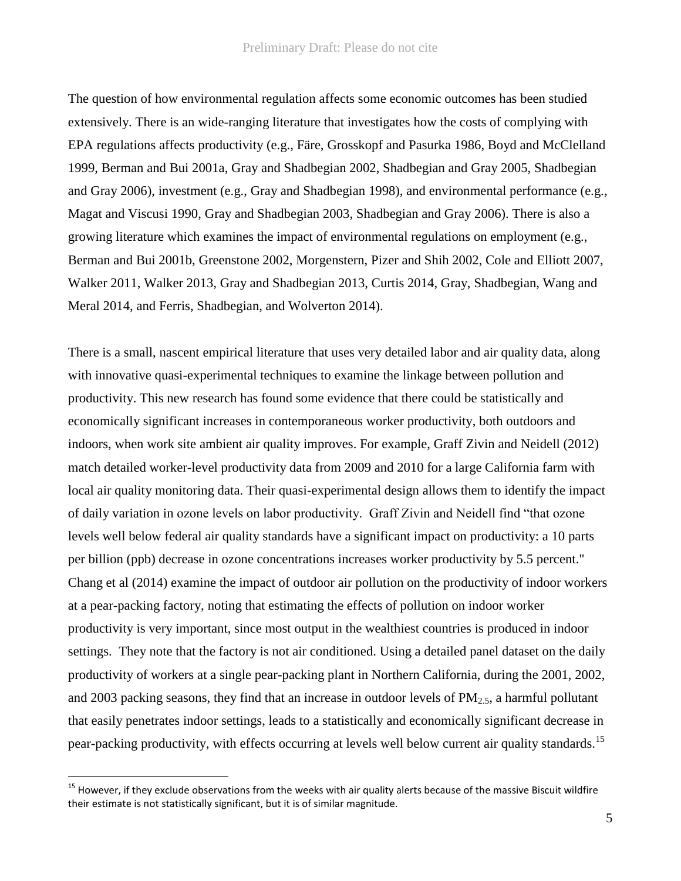The question of how environmental regulation affects some economic outcomes has been studied extensively. There is an wide-ranging literature that investigates how the costs of complying with EPA regulations affects productivity (e.g., Färe, Grosskopf and Pasurka 1986, Boyd and McClelland 1999, Berman and Bui 2001a, Gray and Shadbegian 2002, Shadbegian and Gray 2005, Shadbegian and Gray 2006), investment (e.g., Gray and Shadbegian 1998), and environmental performance (e.g., Magat and Viscusi 1990, Gray and Shadbegian 2003, Shadbegian and Gray 2006). There is also a growing literature which examines the impact of environmental regulations on employment (e.g., Berman and Bui 2001b, Greenstone 2002, Morgenstern, Pizer and Shih 2002, Cole and Elliott 2007, Walker 2011, Walker 2013, Gray and Shadbegian 2013, Curtis 2014, Gray, Shadbegian, Wang and Meral 2014, and Ferris, Shadbegian, and Wolverton 2014).

There is a small, nascent empirical literature that uses very detailed labor and air quality data, along with innovative quasi-experimental techniques to examine the linkage between pollution and productivity. This new research has found some evidence that there could be statistically and economically significant increases in contemporaneous worker productivity, both outdoors and indoors, when work site ambient air quality improves. For example, Graff Zivin and Neidell (2012) match detailed worker-level productivity data from 2009 and 2010 for a large California farm with local air quality monitoring data. Their quasi-experimental design allows them to identify the impact of daily variation in ozone levels on labor productivity. Graff Zivin and Neidell find "that ozone levels well below federal air quality standards have a significant impact on productivity: a 10 parts per billion (ppb) decrease in ozone concentrations increases worker productivity by 5.5 percent." Chang et al (2014) examine the impact of outdoor air pollution on the productivity of indoor workers at a pear-packing factory, noting that estimating the effects of pollution on indoor worker productivity is very important, since most output in the wealthiest countries is produced in indoor settings. They note that the factory is not air conditioned. Using a detailed panel dataset on the daily productivity of workers at a single pear-packing plant in Northern California, during the 2001, 2002, and 2003 packing seasons, they find that an increase in outdoor levels of  $PM_{2.5}$ , a harmful pollutant that easily penetrates indoor settings, leads to a statistically and economically significant decrease in pear-packing productivity, with effects occurring at levels well below current air quality standards.<sup>15</sup>

 $15$  However, if they exclude observations from the weeks with air quality alerts because of the massive Biscuit wildfire their estimate is not statistically significant, but it is of similar magnitude.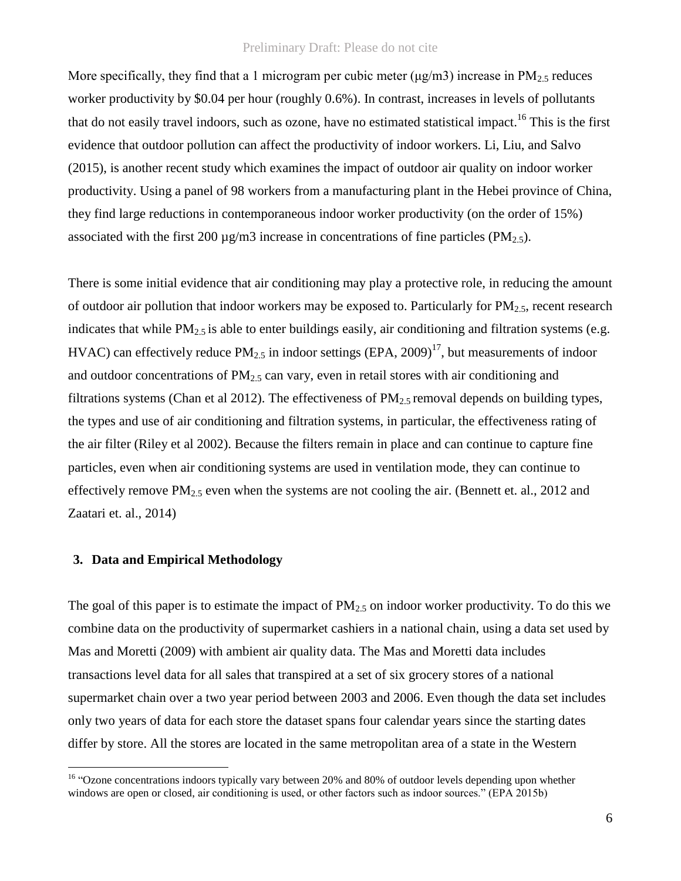More specifically, they find that a 1 microgram per cubic meter  $(\mu g/m3)$  increase in  $PM_{2.5}$  reduces worker productivity by \$0.04 per hour (roughly 0.6%). In contrast, increases in levels of pollutants that do not easily travel indoors, such as ozone, have no estimated statistical impact.<sup>16</sup> This is the first evidence that outdoor pollution can affect the productivity of indoor workers. Li, Liu, and Salvo (2015), is another recent study which examines the impact of outdoor air quality on indoor worker productivity. Using a panel of 98 workers from a manufacturing plant in the Hebei province of China, they find large reductions in contemporaneous indoor worker productivity (on the order of 15%) associated with the first 200  $\mu$ g/m3 increase in concentrations of fine particles (PM<sub>2.5</sub>).

There is some initial evidence that air conditioning may play a protective role, in reducing the amount of outdoor air pollution that indoor workers may be exposed to. Particularly for  $PM_{2.5}$ , recent research indicates that while  $PM_{2.5}$  is able to enter buildings easily, air conditioning and filtration systems (e.g. HVAC) can effectively reduce  $PM_{2.5}$  in indoor settings (EPA, 2009)<sup>17</sup>, but measurements of indoor and outdoor concentrations of  $PM<sub>2.5</sub>$  can vary, even in retail stores with air conditioning and filtrations systems (Chan et al 2012). The effectiveness of  $PM_{2.5}$  removal depends on building types, the types and use of air conditioning and filtration systems, in particular, the effectiveness rating of the air filter (Riley et al 2002). Because the filters remain in place and can continue to capture fine particles, even when air conditioning systems are used in ventilation mode, they can continue to effectively remove  $PM_{2.5}$  even when the systems are not cooling the air. (Bennett et. al., 2012 and Zaatari et. al., 2014)

# **3. Data and Empirical Methodology**

 $\overline{a}$ 

The goal of this paper is to estimate the impact of  $PM_{2.5}$  on indoor worker productivity. To do this we combine data on the productivity of supermarket cashiers in a national chain, using a data set used by Mas and Moretti (2009) with ambient air quality data. The Mas and Moretti data includes transactions level data for all sales that transpired at a set of six grocery stores of a national supermarket chain over a two year period between 2003 and 2006. Even though the data set includes only two years of data for each store the dataset spans four calendar years since the starting dates differ by store. All the stores are located in the same metropolitan area of a state in the Western

<sup>&</sup>lt;sup>16</sup> "Ozone concentrations indoors typically vary between 20% and 80% of outdoor levels depending upon whether windows are open or closed, air conditioning is used, or other factors such as indoor sources." (EPA 2015b)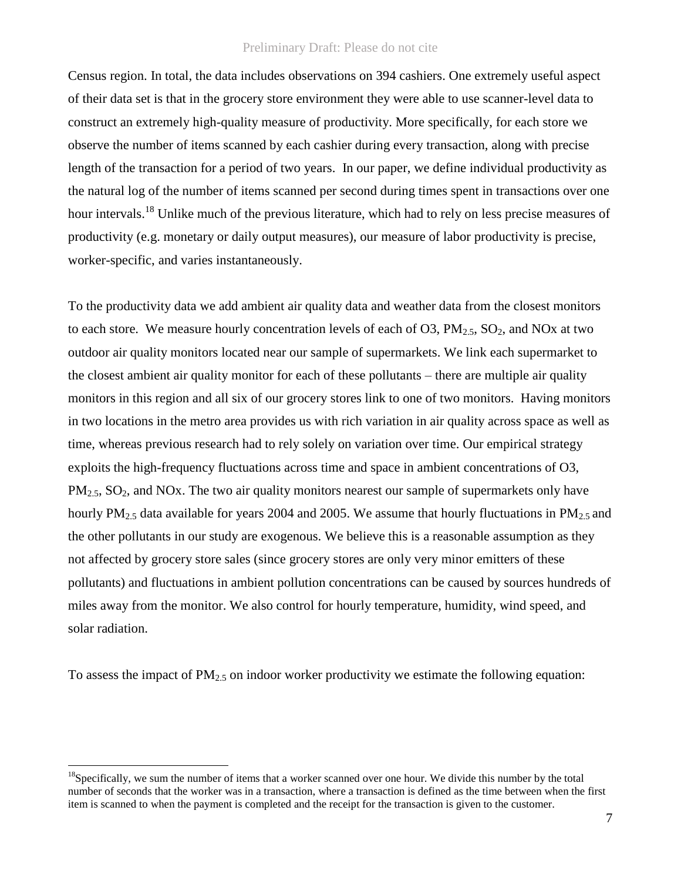Census region. In total, the data includes observations on 394 cashiers. One extremely useful aspect of their data set is that in the grocery store environment they were able to use scanner-level data to construct an extremely high-quality measure of productivity. More specifically, for each store we observe the number of items scanned by each cashier during every transaction, along with precise length of the transaction for a period of two years. In our paper, we define individual productivity as the natural log of the number of items scanned per second during times spent in transactions over one hour intervals.<sup>18</sup> Unlike much of the previous literature, which had to rely on less precise measures of productivity (e.g. monetary or daily output measures), our measure of labor productivity is precise, worker-specific, and varies instantaneously.

To the productivity data we add ambient air quality data and weather data from the closest monitors to each store. We measure hourly concentration levels of each of O3,  $PM_{2.5}$ , SO<sub>2</sub>, and NOx at two outdoor air quality monitors located near our sample of supermarkets. We link each supermarket to the closest ambient air quality monitor for each of these pollutants – there are multiple air quality monitors in this region and all six of our grocery stores link to one of two monitors. Having monitors in two locations in the metro area provides us with rich variation in air quality across space as well as time, whereas previous research had to rely solely on variation over time. Our empirical strategy exploits the high-frequency fluctuations across time and space in ambient concentrations of O3,  $PM<sub>2.5</sub>, SO<sub>2</sub>, and NOx. The two air quality monitors nearest our sample of super markets only have$ hourly  $PM_{2.5}$  data available for years 2004 and 2005. We assume that hourly fluctuations in  $PM_{2.5}$  and the other pollutants in our study are exogenous. We believe this is a reasonable assumption as they not affected by grocery store sales (since grocery stores are only very minor emitters of these pollutants) and fluctuations in ambient pollution concentrations can be caused by sources hundreds of miles away from the monitor. We also control for hourly temperature, humidity, wind speed, and solar radiation.

To assess the impact of  $PM_{2.5}$  on indoor worker productivity we estimate the following equation:

 $18$ Specifically, we sum the number of items that a worker scanned over one hour. We divide this number by the total number of seconds that the worker was in a transaction, where a transaction is defined as the time between when the first item is scanned to when the payment is completed and the receipt for the transaction is given to the customer.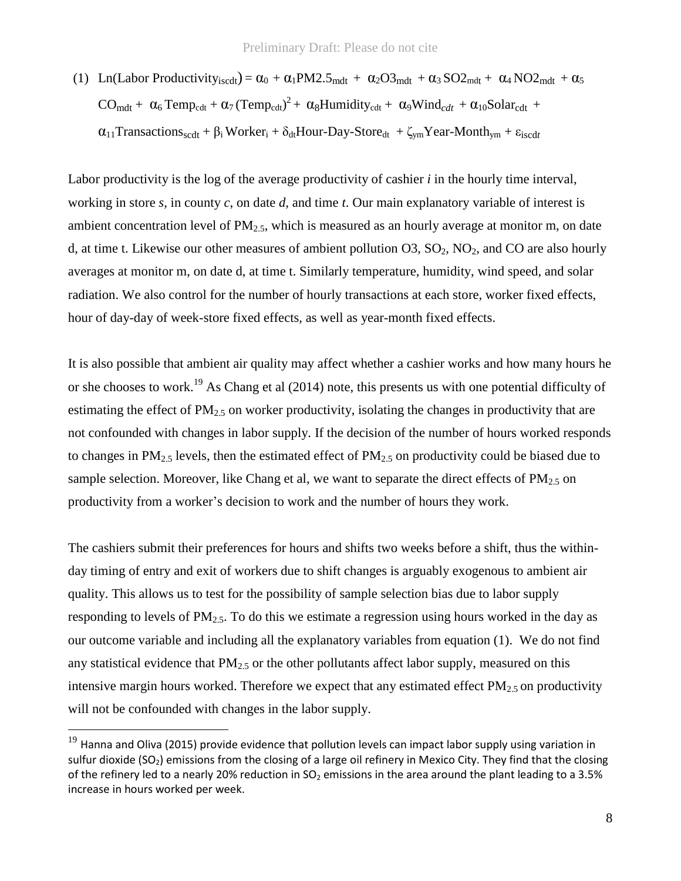(1) Ln(Labor Productivity<sub>iscd</sub>) = 
$$
\alpha_0 + \alpha_1 PM2.5_{mdt} + \alpha_2 O3_{mdt} + \alpha_3 SO2_{mdt} + \alpha_4 NO2_{mdt} + \alpha_5
$$
  
\n $CO_{mdt} + \alpha_6 Temp_{cdt} + \alpha_7 (Temp_{cdt})^2 + \alpha_8 Humidity_{cdt} + \alpha_9 Wind_{cdt} + \alpha_{10} Solar_{cdt} + \alpha_{11} Transactions_{scdt} + \beta_i Worker_i + \delta_{dt} Hour-Day-Store_{dt} + \zeta_{ym} Year-Month_{ym} + \epsilon_{iscdt}$ 

Labor productivity is the log of the average productivity of cashier *i* in the hourly time interval, working in store *s*, in county *c*, on date *d*, and time *t*. Our main explanatory variable of interest is ambient concentration level of  $PM_{2.5}$ , which is measured as an hourly average at monitor m, on date d, at time t. Likewise our other measures of ambient pollution  $O3$ ,  $SO_2$ ,  $NO_2$ , and  $CO$  are also hourly averages at monitor m, on date d, at time t. Similarly temperature, humidity, wind speed, and solar radiation. We also control for the number of hourly transactions at each store, worker fixed effects, hour of day-day of week-store fixed effects, as well as year-month fixed effects.

It is also possible that ambient air quality may affect whether a cashier works and how many hours he or she chooses to work.<sup>19</sup> As Chang et al (2014) note, this presents us with one potential difficulty of estimating the effect of  $PM_{2.5}$  on worker productivity, isolating the changes in productivity that are not confounded with changes in labor supply. If the decision of the number of hours worked responds to changes in  $PM_{2.5}$  levels, then the estimated effect of  $PM_{2.5}$  on productivity could be biased due to sample selection. Moreover, like Chang et al, we want to separate the direct effects of  $PM_{2.5}$  on productivity from a worker's decision to work and the number of hours they work.

The cashiers submit their preferences for hours and shifts two weeks before a shift, thus the withinday timing of entry and exit of workers due to shift changes is arguably exogenous to ambient air quality. This allows us to test for the possibility of sample selection bias due to labor supply responding to levels of  $PM_{2.5}$ . To do this we estimate a regression using hours worked in the day as our outcome variable and including all the explanatory variables from equation (1). We do not find any statistical evidence that  $PM_{2.5}$  or the other pollutants affect labor supply, measured on this intensive margin hours worked. Therefore we expect that any estimated effect  $PM_{2.5}$  on productivity will not be confounded with changes in the labor supply.

 $^{19}$  Hanna and Oliva (2015) provide evidence that pollution levels can impact labor supply using variation in sulfur dioxide (SO<sub>2</sub>) emissions from the closing of a large oil refinery in Mexico City. They find that the closing of the refinery led to a nearly 20% reduction in SO<sub>2</sub> emissions in the area around the plant leading to a 3.5% increase in hours worked per week.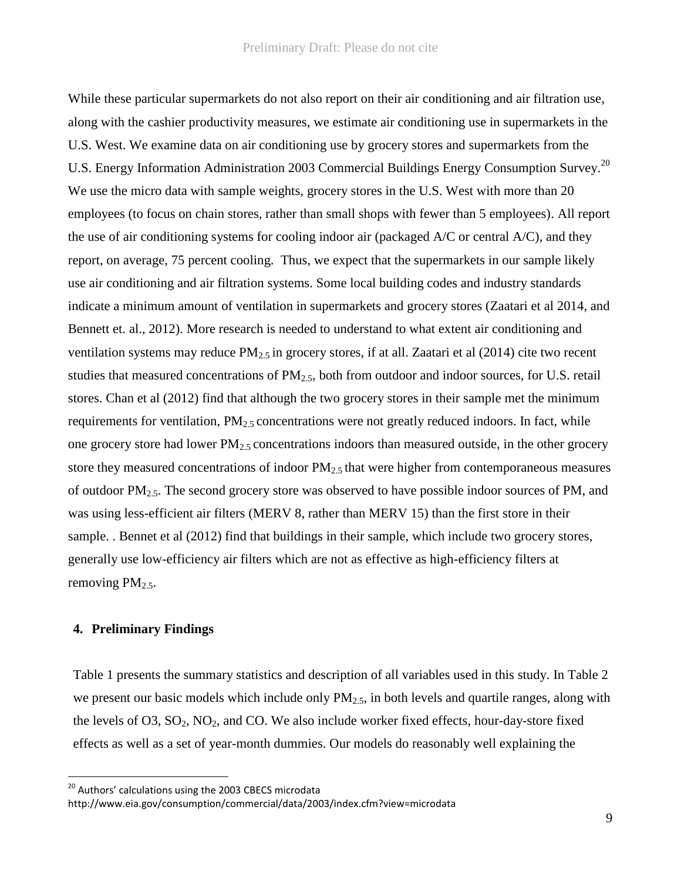While these particular supermarkets do not also report on their air conditioning and air filtration use, along with the cashier productivity measures, we estimate air conditioning use in supermarkets in the U.S. West. We examine data on air conditioning use by grocery stores and supermarkets from the U.S. Energy Information Administration 2003 Commercial Buildings Energy Consumption Survey.<sup>20</sup> We use the micro data with sample weights, grocery stores in the U.S. West with more than 20 employees (to focus on chain stores, rather than small shops with fewer than 5 employees). All report the use of air conditioning systems for cooling indoor air (packaged A/C or central A/C), and they report, on average, 75 percent cooling. Thus, we expect that the supermarkets in our sample likely use air conditioning and air filtration systems. Some local building codes and industry standards indicate a minimum amount of ventilation in supermarkets and grocery stores (Zaatari et al 2014, and Bennett et. al., 2012). More research is needed to understand to what extent air conditioning and ventilation systems may reduce PM<sub>2.5</sub> in grocery stores, if at all. Zaatari et al (2014) cite two recent studies that measured concentrations of  $PM_{2.5}$ , both from outdoor and indoor sources, for U.S. retail stores. Chan et al (2012) find that although the two grocery stores in their sample met the minimum requirements for ventilation,  $PM_{2.5}$  concentrations were not greatly reduced indoors. In fact, while one grocery store had lower  $PM_{2.5}$  concentrations indoors than measured outside, in the other grocery store they measured concentrations of indoor  $PM_{2.5}$  that were higher from contemporaneous measures of outdoor PM2.5. The second grocery store was observed to have possible indoor sources of PM, and was using less-efficient air filters (MERV 8, rather than MERV 15) than the first store in their sample. . Bennet et al (2012) find that buildings in their sample, which include two grocery stores, generally use low-efficiency air filters which are not as effective as high-efficiency filters at removing  $PM_{2.5}$ .

# **4. Preliminary Findings**

 $\overline{a}$ 

Table 1 presents the summary statistics and description of all variables used in this study. In Table 2 we present our basic models which include only  $PM_{2.5}$ , in both levels and quartile ranges, along with the levels of  $O3$ ,  $SO_2$ ,  $NO_2$ , and  $CO$ . We also include worker fixed effects, hour-day-store fixed effects as well as a set of year-month dummies. Our models do reasonably well explaining the

<sup>&</sup>lt;sup>20</sup> Authors' calculations using the 2003 CBECS microdata

http://www.eia.gov/consumption/commercial/data/2003/index.cfm?view=microdata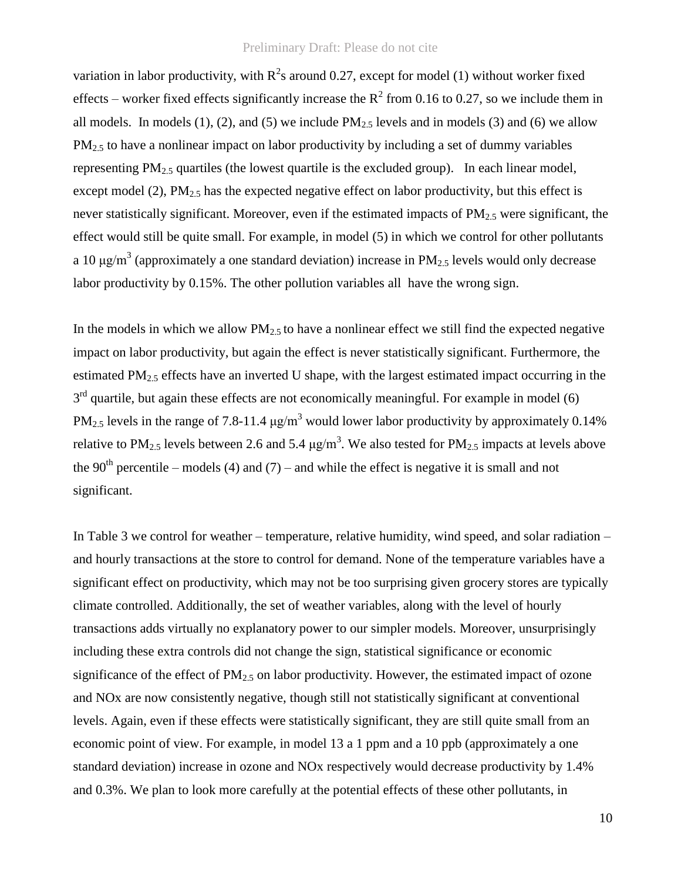variation in labor productivity, with  $R^2$ s around 0.27, except for model (1) without worker fixed effects – worker fixed effects significantly increase the  $R^2$  from 0.16 to 0.27, so we include them in all models. In models  $(1)$ ,  $(2)$ , and  $(5)$  we include PM<sub>2.5</sub> levels and in models  $(3)$  and  $(6)$  we allow PM<sub>2.5</sub> to have a nonlinear impact on labor productivity by including a set of dummy variables representing  $PM_{2.5}$  quartiles (the lowest quartile is the excluded group). In each linear model, except model (2),  $PM_{2.5}$  has the expected negative effect on labor productivity, but this effect is never statistically significant. Moreover, even if the estimated impacts of  $PM_{2.5}$  were significant, the effect would still be quite small. For example, in model (5) in which we control for other pollutants a 10  $\mu$ g/m<sup>3</sup> (approximately a one standard deviation) increase in PM<sub>2.5</sub> levels would only decrease labor productivity by 0.15%. The other pollution variables all have the wrong sign.

In the models in which we allow  $PM<sub>2.5</sub>$  to have a nonlinear effect we still find the expected negative impact on labor productivity, but again the effect is never statistically significant. Furthermore, the estimated PM2.5 effects have an inverted U shape, with the largest estimated impact occurring in the  $3<sup>rd</sup>$  quartile, but again these effects are not economically meaningful. For example in model (6) PM<sub>2.5</sub> levels in the range of 7.8-11.4  $\mu$ g/m<sup>3</sup> would lower labor productivity by approximately 0.14% relative to PM<sub>2.5</sub> levels between 2.6 and 5.4  $\mu$ g/m<sup>3</sup>. We also tested for PM<sub>2.5</sub> impacts at levels above the 90<sup>th</sup> percentile – models (4) and (7) – and while the effect is negative it is small and not significant.

In Table 3 we control for weather – temperature, relative humidity, wind speed, and solar radiation – and hourly transactions at the store to control for demand. None of the temperature variables have a significant effect on productivity, which may not be too surprising given grocery stores are typically climate controlled. Additionally, the set of weather variables, along with the level of hourly transactions adds virtually no explanatory power to our simpler models. Moreover, unsurprisingly including these extra controls did not change the sign, statistical significance or economic significance of the effect of  $PM<sub>2.5</sub>$  on labor productivity. However, the estimated impact of ozone and NOx are now consistently negative, though still not statistically significant at conventional levels. Again, even if these effects were statistically significant, they are still quite small from an economic point of view. For example, in model 13 a 1 ppm and a 10 ppb (approximately a one standard deviation) increase in ozone and NOx respectively would decrease productivity by 1.4% and 0.3%. We plan to look more carefully at the potential effects of these other pollutants, in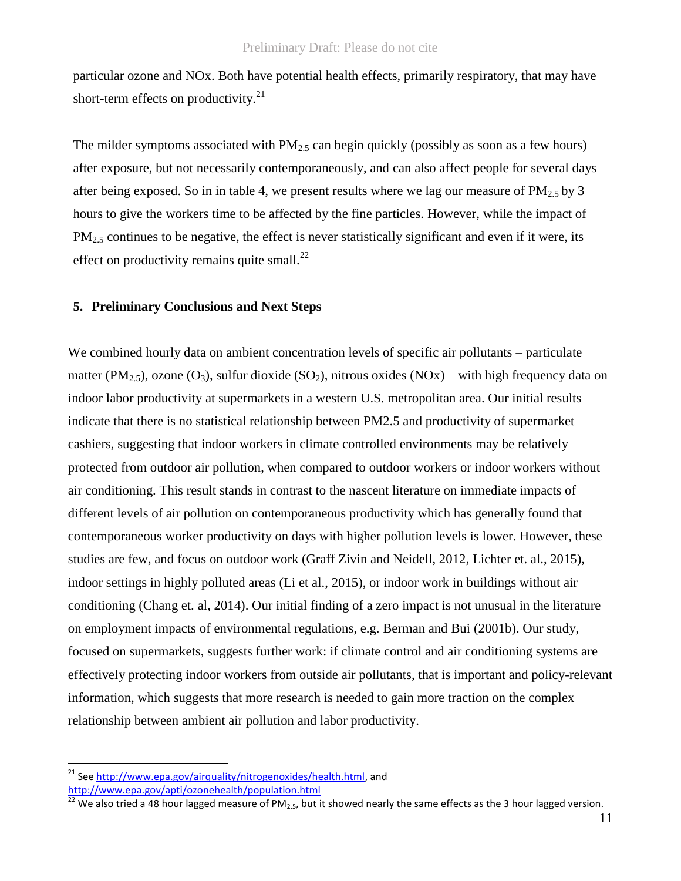particular ozone and NOx. Both have potential health effects, primarily respiratory, that may have short-term effects on productivity.<sup>21</sup>

The milder symptoms associated with  $PM<sub>2.5</sub>$  can begin quickly (possibly as soon as a few hours) after exposure, but not necessarily contemporaneously, and can also affect people for several days after being exposed. So in in table 4, we present results where we lag our measure of  $PM_{2.5}$  by 3 hours to give the workers time to be affected by the fine particles. However, while the impact of  $PM<sub>2.5</sub>$  continues to be negative, the effect is never statistically significant and even if it were, its effect on productivity remains quite small. $^{22}$ 

## **5. Preliminary Conclusions and Next Steps**

We combined hourly data on ambient concentration levels of specific air pollutants – particulate matter (PM<sub>2.5</sub>), ozone (O<sub>3</sub>), sulfur dioxide (SO<sub>2</sub>), nitrous oxides (NOx) – with high frequency data on indoor labor productivity at supermarkets in a western U.S. metropolitan area. Our initial results indicate that there is no statistical relationship between PM2.5 and productivity of supermarket cashiers, suggesting that indoor workers in climate controlled environments may be relatively protected from outdoor air pollution, when compared to outdoor workers or indoor workers without air conditioning. This result stands in contrast to the nascent literature on immediate impacts of different levels of air pollution on contemporaneous productivity which has generally found that contemporaneous worker productivity on days with higher pollution levels is lower. However, these studies are few, and focus on outdoor work (Graff Zivin and Neidell, 2012, Lichter et. al., 2015), indoor settings in highly polluted areas (Li et al., 2015), or indoor work in buildings without air conditioning (Chang et. al, 2014). Our initial finding of a zero impact is not unusual in the literature on employment impacts of environmental regulations, e.g. Berman and Bui (2001b). Our study, focused on supermarkets, suggests further work: if climate control and air conditioning systems are effectively protecting indoor workers from outside air pollutants, that is important and policy-relevant information, which suggests that more research is needed to gain more traction on the complex relationship between ambient air pollution and labor productivity.

See [http://www.epa.gov/airquality/nitrogenoxides/health.html,](http://www.epa.gov/airquality/nitrogenoxides/health.html) and

<http://www.epa.gov/apti/ozonehealth/population.html>

<sup>22</sup> We also tried a 48 hour lagged measure of PM<sub>2.5</sub>, but it showed nearly the same effects as the 3 hour lagged version.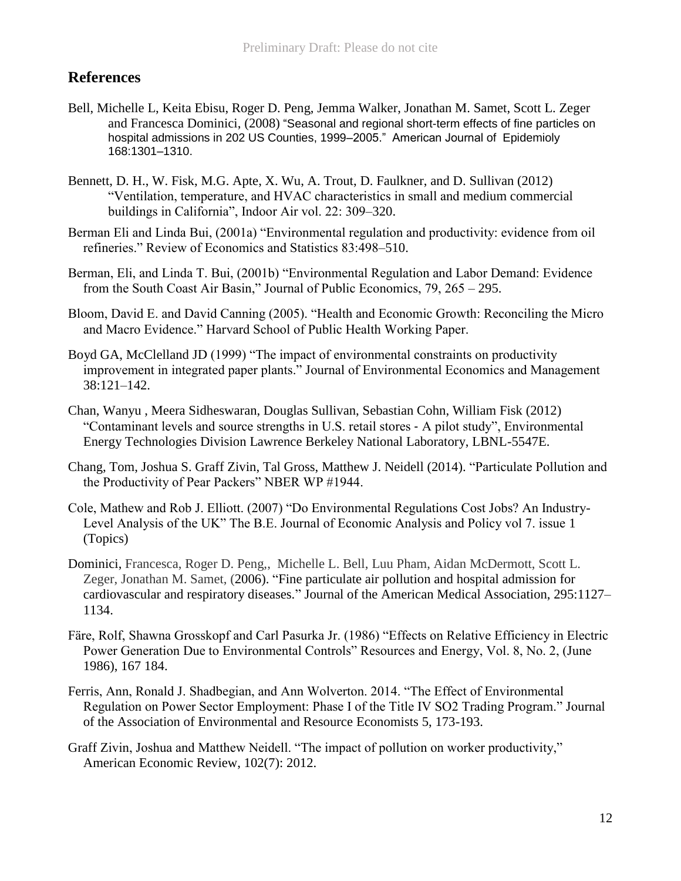# **References**

- Bell, Michelle L, Keita Ebisu, Roger D. Peng, Jemma Walker, Jonathan M. Samet, Scott L. Zeger and Francesca Dominici, (2008) "Seasonal and regional short-term effects of fine particles on hospital admissions in 202 US Counties, 1999–2005." American Journal of Epidemioly 168:1301–1310.
- Bennett, D. H., W. Fisk, M.G. Apte, X. Wu, A. Trout, D. Faulkner, and D. Sullivan (2012) "Ventilation, temperature, and HVAC characteristics in small and medium commercial buildings in California", Indoor Air vol. 22: 309–320.
- Berman Eli and Linda Bui, (2001a) "Environmental regulation and productivity: evidence from oil refineries." Review of Economics and Statistics 83:498–510.
- Berman, Eli, and Linda T. Bui, (2001b) "Environmental Regulation and Labor Demand: Evidence from the South Coast Air Basin," Journal of Public Economics, 79, 265 – 295.
- Bloom, David E. and David Canning (2005). "Health and Economic Growth: Reconciling the Micro and Macro Evidence." Harvard School of Public Health Working Paper.
- Boyd GA, McClelland JD (1999) "The impact of environmental constraints on productivity improvement in integrated paper plants." Journal of Environmental Economics and Management 38:121–142.
- Chan, Wanyu , Meera Sidheswaran, Douglas Sullivan, Sebastian Cohn, William Fisk (2012) "Contaminant levels and source strengths in U.S. retail stores ‐ A pilot study", Environmental Energy Technologies Division Lawrence Berkeley National Laboratory, LBNL-5547E.
- Chang, Tom, Joshua S. Graff Zivin, Tal Gross, Matthew J. Neidell (2014). "Particulate Pollution and the Productivity of Pear Packers" NBER WP #1944.
- Cole, Mathew and Rob J. Elliott. (2007) "Do Environmental Regulations Cost Jobs? An Industry-Level Analysis of the UK" The B.E. Journal of Economic Analysis and Policy vol 7. issue 1 (Topics)
- Dominici, Francesca, Roger D. Peng,, Michelle L. Bell, Luu Pham, Aidan McDermott, Scott L. Zeger, Jonathan M. Samet, (2006). "Fine particulate air pollution and hospital admission for cardiovascular and respiratory diseases." Journal of the American Medical Association, 295:1127– 1134.
- Färe, Rolf, Shawna Grosskopf and Carl Pasurka Jr. (1986) "Effects on Relative Efficiency in Electric Power Generation Due to Environmental Controls" Resources and Energy, Vol. 8, No. 2, (June 1986), 167 184.
- Ferris, Ann, Ronald J. Shadbegian, and Ann Wolverton. 2014. "The Effect of Environmental Regulation on Power Sector Employment: Phase I of the Title IV SO2 Trading Program." Journal of the Association of Environmental and Resource Economists 5, 173-193.
- Graff Zivin, Joshua and Matthew Neidell. "The impact of pollution on worker productivity," American Economic Review, 102(7): 2012.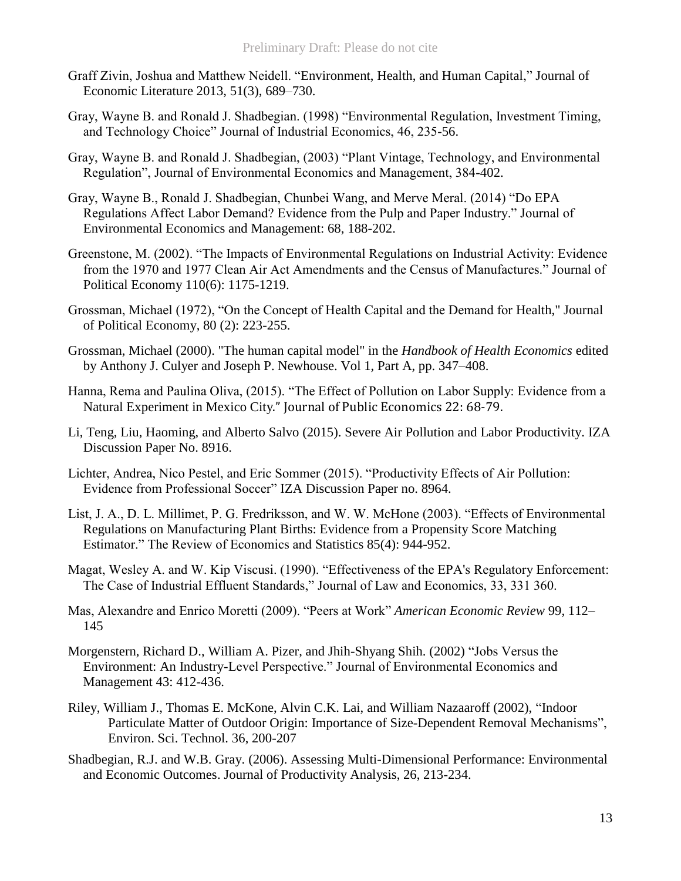- Graff Zivin, Joshua and Matthew Neidell. "Environment, Health, and Human Capital," Journal of Economic Literature 2013, 51(3), 689–730.
- Gray, Wayne B. and Ronald J. Shadbegian. (1998) "Environmental Regulation, Investment Timing, and Technology Choice" Journal of Industrial Economics, 46, 235-56.
- Gray, Wayne B. and Ronald J. Shadbegian, (2003) "Plant Vintage, Technology, and Environmental Regulation", Journal of Environmental Economics and Management, 384-402.
- Gray, Wayne B., Ronald J. Shadbegian, Chunbei Wang, and Merve Meral. (2014) "Do EPA Regulations Affect Labor Demand? Evidence from the Pulp and Paper Industry." Journal of Environmental Economics and Management: 68, 188-202.
- Greenstone, M. (2002). "The Impacts of Environmental Regulations on Industrial Activity: Evidence from the 1970 and 1977 Clean Air Act Amendments and the Census of Manufactures." Journal of Political Economy 110(6): 1175-1219.
- Grossman, Michael (1972), "On the Concept of Health Capital and the Demand for Health," Journal of Political Economy, 80 (2): 223-255.
- Grossman, Michael (2000). "The human capital model" in the *Handbook of Health Economics* edited by Anthony J. Culyer and Joseph P. Newhouse. Vol 1, Part A, pp. 347–408.
- Hanna, Rema and Paulina Oliva, (2015). "The Effect of Pollution on Labor Supply: Evidence from a Natural Experiment in Mexico City." Journal of Public Economics 22: 68-79.
- Li, Teng, Liu, Haoming, and Alberto Salvo (2015). Severe Air Pollution and Labor Productivity. IZA Discussion Paper No. 8916.
- Lichter, Andrea, Nico Pestel, and Eric Sommer (2015). "Productivity Effects of Air Pollution: Evidence from Professional Soccer" IZA Discussion Paper no. 8964.
- List, J. A., D. L. Millimet, P. G. Fredriksson, and W. W. McHone (2003). "Effects of Environmental Regulations on Manufacturing Plant Births: Evidence from a Propensity Score Matching Estimator." The Review of Economics and Statistics 85(4): 944-952.
- Magat, Wesley A. and W. Kip Viscusi. (1990). "Effectiveness of the EPA's Regulatory Enforcement: The Case of Industrial Effluent Standards," Journal of Law and Economics, 33, 331 360.
- Mas, Alexandre and Enrico Moretti (2009). "Peers at Work" *American Economic Review* 99, 112– 145
- Morgenstern, Richard D., William A. Pizer, and Jhih-Shyang Shih. (2002) "Jobs Versus the Environment: An Industry-Level Perspective." Journal of Environmental Economics and Management 43: 412-436.
- Riley, William J., Thomas E. McKone, Alvin C.K. Lai, and William Nazaaroff (2002), "Indoor Particulate Matter of Outdoor Origin: Importance of Size-Dependent Removal Mechanisms", Environ. Sci. Technol. 36, 200-207
- Shadbegian, R.J. and W.B. Gray. (2006). Assessing Multi-Dimensional Performance: Environmental and Economic Outcomes. Journal of Productivity Analysis, 26, 213-234.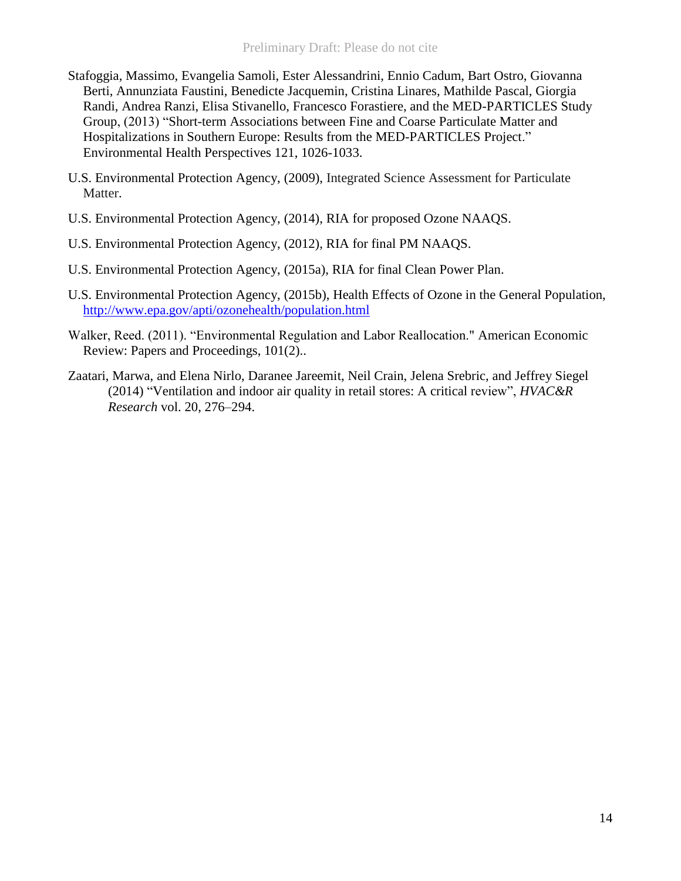- Stafoggia, Massimo, Evangelia Samoli, Ester Alessandrini, Ennio Cadum, Bart Ostro, Giovanna Berti, Annunziata Faustini, Benedicte Jacquemin, Cristina Linares, Mathilde Pascal, Giorgia Randi, Andrea Ranzi, Elisa Stivanello, Francesco Forastiere, and the MED-PARTICLES Study Group, (2013) "Short-term Associations between Fine and Coarse Particulate Matter and Hospitalizations in Southern Europe: Results from the MED-PARTICLES Project." Environmental Health Perspectives 121, 1026-1033.
- U.S. Environmental Protection Agency, (2009), Integrated Science Assessment for Particulate Matter.
- U.S. Environmental Protection Agency, (2014), RIA for proposed Ozone NAAQS.
- U.S. Environmental Protection Agency, (2012), RIA for final PM NAAQS.
- U.S. Environmental Protection Agency, (2015a), RIA for final Clean Power Plan.
- U.S. Environmental Protection Agency, (2015b), Health Effects of Ozone in the General Population, <http://www.epa.gov/apti/ozonehealth/population.html>
- Walker, Reed. (2011). "Environmental Regulation and Labor Reallocation." American Economic Review: Papers and Proceedings, 101(2)..
- Zaatari, Marwa, and Elena Nirlo, Daranee Jareemit, Neil Crain, Jelena Srebric, and Jeffrey Siegel (2014) "Ventilation and indoor air quality in retail stores: A critical review", *HVAC&R Research* vol. 20, 276–294.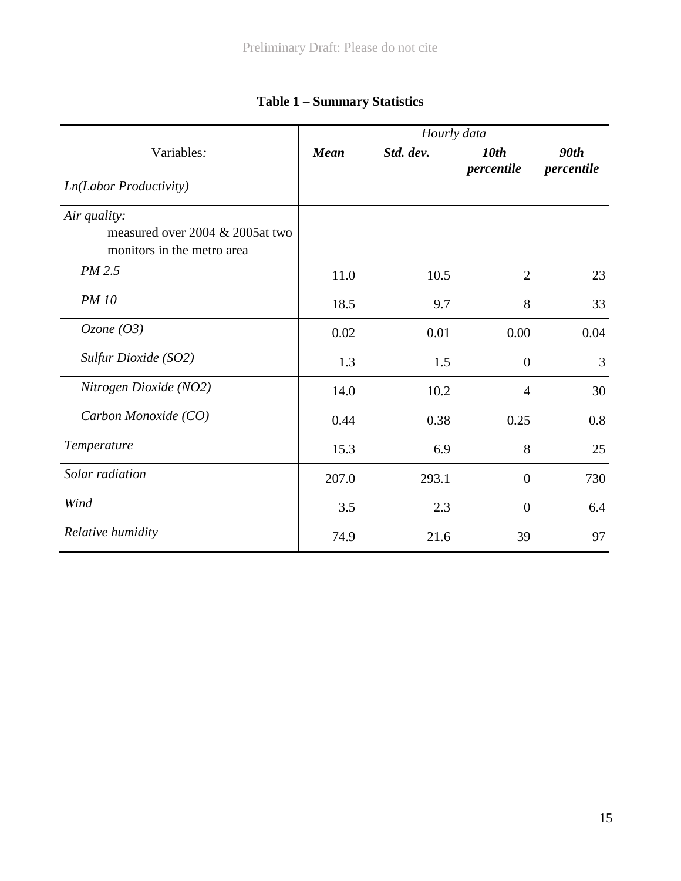|                                                               | Hourly data |           |                                |                    |  |  |
|---------------------------------------------------------------|-------------|-----------|--------------------------------|--------------------|--|--|
| Variables:                                                    | <b>Mean</b> | Std. dev. | 10 <sub>th</sub><br>percentile | 90th<br>percentile |  |  |
| <b>Ln(Labor Productivity)</b>                                 |             |           |                                |                    |  |  |
| Air quality:                                                  |             |           |                                |                    |  |  |
| measured over 2004 & 2005at two<br>monitors in the metro area |             |           |                                |                    |  |  |
| PM 2.5                                                        | 11.0        | 10.5      | $\overline{2}$                 | 23                 |  |  |
| <b>PM 10</b>                                                  | 18.5        | 9.7       | 8                              | 33                 |  |  |
| Ozone $(O3)$                                                  | 0.02        | 0.01      | 0.00                           | 0.04               |  |  |
| Sulfur Dioxide (SO2)                                          | 1.3         | 1.5       | $\theta$                       | 3                  |  |  |
| Nitrogen Dioxide (NO2)                                        | 14.0        | 10.2      | $\overline{4}$                 | 30                 |  |  |
| Carbon Monoxide (CO)                                          | 0.44        | 0.38      | 0.25                           | 0.8                |  |  |
| Temperature                                                   | 15.3        | 6.9       | 8                              | 25                 |  |  |
| Solar radiation                                               | 207.0       | 293.1     | $\theta$                       | 730                |  |  |
| Wind                                                          | 3.5         | 2.3       | $\theta$                       | 6.4                |  |  |
| Relative humidity                                             | 74.9        | 21.6      | 39                             | 97                 |  |  |

# **Table 1 – Summary Statistics**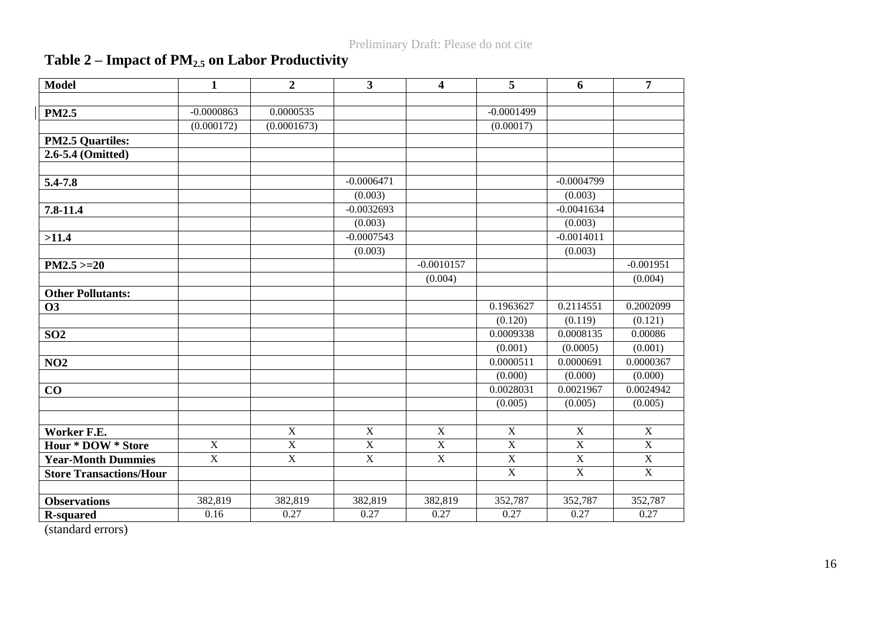# **Table 2 – Impact of PM2.5 on Labor Productivity**

| <b>Model</b>                   | $\mathbf{1}$   | $\overline{2}$ | $\overline{\mathbf{3}}$ | $\overline{\mathbf{4}}$ | 5              | 6              | $\overline{7}$ |
|--------------------------------|----------------|----------------|-------------------------|-------------------------|----------------|----------------|----------------|
|                                |                |                |                         |                         |                |                |                |
| <b>PM2.5</b>                   | $-0.0000863$   | 0.0000535      |                         |                         | $-0.0001499$   |                |                |
|                                | (0.000172)     | (0.0001673)    |                         |                         | (0.00017)      |                |                |
| <b>PM2.5 Quartiles:</b>        |                |                |                         |                         |                |                |                |
| 2.6-5.4 (Omitted)              |                |                |                         |                         |                |                |                |
|                                |                |                |                         |                         |                |                |                |
| 5.4-7.8                        |                |                | $-0.0006471$            |                         |                | $-0.0004799$   |                |
|                                |                |                | (0.003)                 |                         |                | (0.003)        |                |
| 7.8-11.4                       |                |                | $-0.0032693$            |                         |                | $-0.0041634$   |                |
|                                |                |                | (0.003)                 |                         |                | (0.003)        |                |
| >11.4                          |                |                | $-0.0007543$            |                         |                | $-0.0014011$   |                |
|                                |                |                | (0.003)                 |                         |                | (0.003)        |                |
| $PM2.5 > = 20$                 |                |                |                         | $-0.0010157$            |                |                | $-0.001951$    |
|                                |                |                |                         | (0.004)                 |                |                | (0.004)        |
| <b>Other Pollutants:</b>       |                |                |                         |                         |                |                |                |
| <b>O3</b>                      |                |                |                         |                         | 0.1963627      | 0.2114551      | 0.2002099      |
|                                |                |                |                         |                         | (0.120)        | (0.119)        | (0.121)        |
| SO <sub>2</sub>                |                |                |                         |                         | 0.0009338      | 0.0008135      | 0.00086        |
|                                |                |                |                         |                         | (0.001)        | (0.0005)       | (0.001)        |
| NO2                            |                |                |                         |                         | 0.0000511      | 0.0000691      | 0.0000367      |
|                                |                |                |                         |                         | (0.000)        | (0.000)        | (0.000)        |
| CO                             |                |                |                         |                         | 0.0028031      | 0.0021967      | 0.0024942      |
|                                |                |                |                         |                         | (0.005)        | (0.005)        | (0.005)        |
|                                |                |                |                         |                         |                |                |                |
| Worker F.E.                    |                | $\overline{X}$ | $\mathbf X$             | $\overline{X}$          | $\overline{X}$ | $\mathbf X$    | $\overline{X}$ |
| <b>Hour * DOW * Store</b>      | $\overline{X}$ | $\overline{X}$ | $\overline{X}$          | $\overline{X}$          | $\overline{X}$ | $\overline{X}$ | $\overline{X}$ |
| <b>Year-Month Dummies</b>      | $\mathbf X$    | $\overline{X}$ | $\overline{X}$          | $\overline{X}$          | $\mathbf X$    | $\mathbf X$    | $\mathbf X$    |
| <b>Store Transactions/Hour</b> |                |                |                         |                         | $\overline{X}$ | $\overline{X}$ | $\overline{X}$ |
|                                |                |                |                         |                         |                |                |                |
| <b>Observations</b>            | 382,819        | 382,819        | 382,819                 | 382,819                 | 352,787        | 352,787        | 352,787        |
| <b>R-squared</b>               | 0.16           | 0.27           | 0.27                    | 0.27                    | 0.27           | 0.27           | 0.27           |

(standard errors)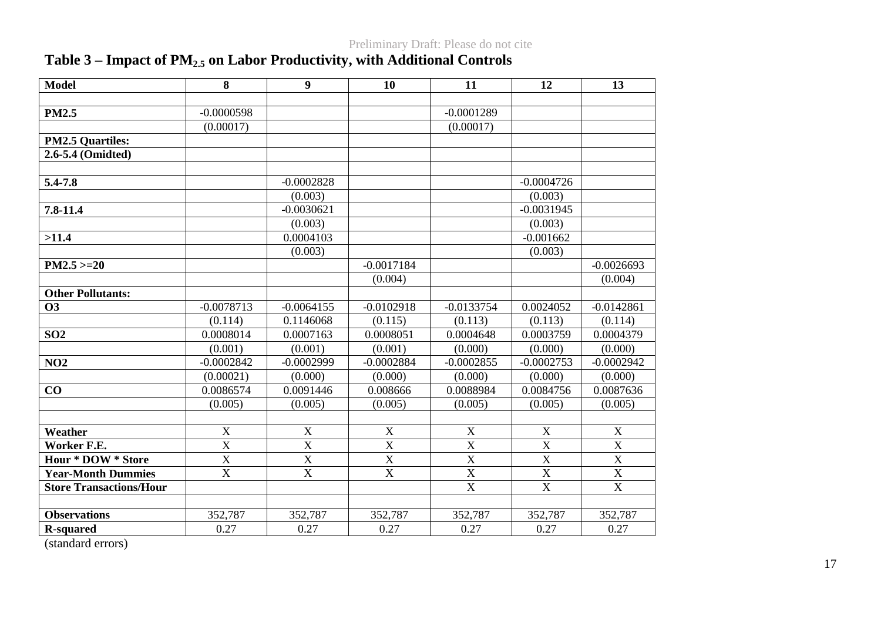# **Table 3 – Impact of PM2.5 on Labor Productivity, with Additional Controls**

| <b>Model</b>                   | 8                       | $\boldsymbol{9}$      | 10                    | 11                      | 12                      | 13               |
|--------------------------------|-------------------------|-----------------------|-----------------------|-------------------------|-------------------------|------------------|
|                                |                         |                       |                       |                         |                         |                  |
| <b>PM2.5</b>                   | $-0.0000598$            |                       |                       | $-0.0001289$            |                         |                  |
|                                | (0.00017)               |                       |                       | (0.00017)               |                         |                  |
| <b>PM2.5 Quartiles:</b>        |                         |                       |                       |                         |                         |                  |
| 2.6-5.4 (Omidted)              |                         |                       |                       |                         |                         |                  |
|                                |                         |                       |                       |                         |                         |                  |
| 5.4-7.8                        |                         | $-0.0002828$          |                       |                         | $-0.0004726$            |                  |
|                                |                         | (0.003)               |                       |                         | (0.003)                 |                  |
| $7.8 - 11.4$                   |                         | $-0.0030621$          |                       |                         | $-0.0031945$            |                  |
|                                |                         | (0.003)               |                       |                         | (0.003)                 |                  |
| >11.4                          |                         | 0.0004103             |                       |                         | $-0.001662$             |                  |
|                                |                         | (0.003)               |                       |                         | (0.003)                 |                  |
| $PM2.5 > = 20$                 |                         |                       | $-0.0017184$          |                         |                         | $-0.0026693$     |
|                                |                         |                       | (0.004)               |                         |                         | (0.004)          |
| <b>Other Pollutants:</b>       |                         |                       |                       |                         |                         |                  |
| <b>O3</b>                      | $-0.0078713$            | $-0.0064155$          | $-0.0102918$          | $-0.0133754$            | 0.0024052               | $-0.0142861$     |
|                                | (0.114)                 | 0.1146068             | (0.115)               | (0.113)                 | (0.113)                 | (0.114)          |
| SO <sub>2</sub>                | 0.0008014               | 0.0007163             | 0.0008051             | 0.0004648               | 0.0003759               | 0.0004379        |
|                                | (0.001)                 | (0.001)               | (0.001)               | (0.000)                 | (0.000)                 | (0.000)          |
| NO2                            | $-0.0002842$            | $-0.0002999$          | $-0.0002884$          | $-0.0002855$            | $-0.0002753$            | $-0.0002942$     |
|                                | (0.00021)               | (0.000)               | (0.000)               | (0.000)                 | (0.000)                 | (0.000)          |
| CO                             | 0.0086574               | 0.0091446             | 0.008666              | 0.0088984               | 0.0084756               | 0.0087636        |
|                                | (0.005)                 | (0.005)               | (0.005)               | (0.005)                 | (0.005)                 | (0.005)          |
|                                |                         |                       |                       |                         |                         |                  |
| Weather                        | $\mathbf X$             | $\mathbf X$           | $\mathbf X$           | $\mathbf X$             | X                       | $\boldsymbol{X}$ |
| Worker F.E.                    | $\overline{X}$          | $\overline{\text{X}}$ | $\overline{\text{X}}$ | $\overline{X}$          | $\mathbf X$             | $\overline{X}$   |
| <b>Hour * DOW * Store</b>      | $\overline{X}$          | $\overline{X}$        | $\overline{\text{X}}$ | $\overline{\mathbf{X}}$ | $\overline{X}$          | $\overline{X}$   |
| <b>Year-Month Dummies</b>      | $\overline{\mathbf{X}}$ | $\overline{X}$        | $\overline{\text{X}}$ | $\overline{\mathbf{X}}$ | $\overline{\mathbf{X}}$ | $\overline{X}$   |
| <b>Store Transactions/Hour</b> |                         |                       |                       | $\overline{X}$          | $\overline{X}$          | $\overline{X}$   |
|                                |                         |                       |                       |                         |                         |                  |
| <b>Observations</b>            | 352,787                 | 352,787               | 352,787               | 352,787                 | 352,787                 | 352,787          |
| <b>R-squared</b>               | 0.27                    | 0.27                  | 0.27                  | 0.27                    | 0.27                    | 0.27             |

(standard errors)